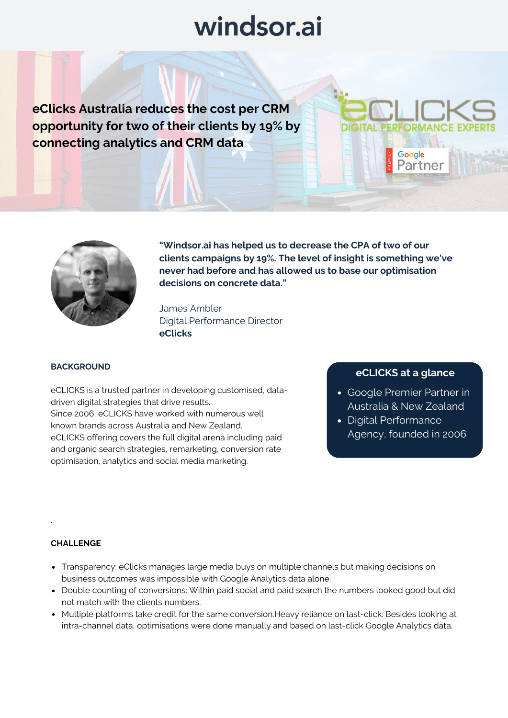# windsor.ai

**eClicks Australia reduces the cost per CRM opportunity for two of their clients by 19% by connecting analytics and CRM data**



**"Windsor.ai has helped us to decrease the CPA of two of our clients campaigns by 19%. The level of insight is something we've never had before and has allowed us to base our optimisation decisions on concrete data."**

James Ambler Digital Performance Director **eClicks**

#### **BACKGROUND**

eCLICKS is a trusted partner in developing customised, datadriven digital strategies that drive results. Since 2006, eCLICKS have worked with numerous well known brands across Australia and New Zealand. eCLICKS offering covers the full digital arena including paid and organic search strategies, remarketing, conversion rate optimisation, analytics and social media marketing.

### **eCLICKS at a glance**

Google Partner

- Google Premier Partner in Australia & New Zealand
- Digital Performance Agency, founded in 2006

#### **CHALLENGE**

.

- Transparency: eClicks manages large media buys on multiple channels but making decisions on business outcomes was impossible with Google Analytics data alone.
- Double counting of conversions: Within paid social and paid search the numbers looked good but did not match with the clients numbers.
- Multiple platforms take credit for the same conversion.Heavy reliance on last-click: Besides looking at intra-channel data, optimisations were done manually and based on last-click Google Analytics data.